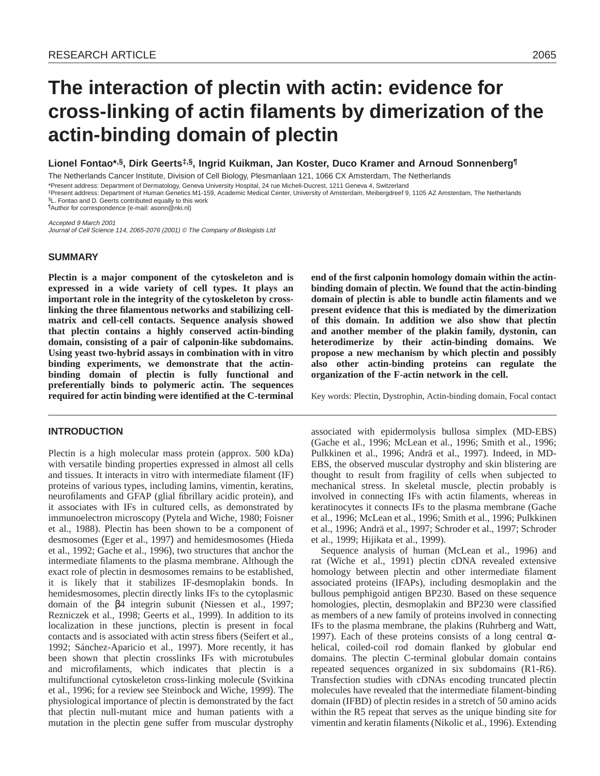# **The interaction of plectin with actin: evidence for cross-linking of actin filaments by dimerization of the actin-binding domain of plectin**

**Lionel Fontao\*,§, Dirk Geerts‡,§, Ingrid Kuikman, Jan Koster, Duco Kramer and Arnoud Sonnenberg¶**

The Netherlands Cancer Institute, Division of Cell Biology, Plesmanlaan 121, 1066 CX Amsterdam, The Netherlands

\*Present address: Department of Dermatology, Geneva University Hospital, 24 rue Micheli-Ducrest, 1211 Geneva 4, Switzerland

‡Present address: Department of Human Genetics M1-159, Academic Medical Center, University of Amsterdam, Meibergdreef 9, 1105 AZ Amsterdam, The Netherlands §L. Fontao and D. Geerts contributed equally to this work

¶Author for correspondence (e-mail: asonn@nki.nl)

Accepted 9 March 2001 Journal of Cell Science 114, 2065-2076 (2001) © The Company of Biologists Ltd

#### **SUMMARY**

**Plectin is a major component of the cytoskeleton and is expressed in a wide variety of cell types. It plays an important role in the integrity of the cytoskeleton by crosslinking the three filamentous networks and stabilizing cellmatrix and cell-cell contacts. Sequence analysis showed that plectin contains a highly conserved actin-binding domain, consisting of a pair of calponin-like subdomains. Using yeast two-hybrid assays in combination with in vitro binding experiments, we demonstrate that the actinbinding domain of plectin is fully functional and preferentially binds to polymeric actin. The sequences required for actin binding were identified at the C-terminal**

# **INTRODUCTION**

Plectin is a high molecular mass protein (approx. 500 kDa) with versatile binding properties expressed in almost all cells and tissues. It interacts in vitro with intermediate filament (IF) proteins of various types, including lamins, vimentin, keratins, neurofilaments and GFAP (glial fibrillary acidic protein), and it associates with IFs in cultured cells, as demonstrated by immunoelectron microscopy (Pytela and Wiche, 1980; Foisner et al., 1988). Plectin has been shown to be a component of desmosomes (Eger et al., 1997) and hemidesmosomes (Hieda et al., 1992; Gache et al., 1996), two structures that anchor the intermediate filaments to the plasma membrane. Although the exact role of plectin in desmosomes remains to be established, it is likely that it stabilizes IF-desmoplakin bonds. In hemidesmosomes, plectin directly links IFs to the cytoplasmic domain of the β4 integrin subunit (Niessen et al., 1997; Rezniczek et al., 1998; Geerts et al., 1999). In addition to its localization in these junctions, plectin is present in focal contacts and is associated with actin stress fibers (Seifert et al., 1992; Sánchez-Aparicio et al., 1997). More recently, it has been shown that plectin crosslinks IFs with microtubules and microfilaments, which indicates that plectin is a multifunctional cytoskeleton cross-linking molecule (Svitkina et al., 1996; for a review see Steinbock and Wiche, 1999). The physiological importance of plectin is demonstrated by the fact that plectin null-mutant mice and human patients with a mutation in the plectin gene suffer from muscular dystrophy

**end of the first calponin homology domain within the actinbinding domain of plectin. We found that the actin-binding domain of plectin is able to bundle actin filaments and we present evidence that this is mediated by the dimerization of this domain. In addition we also show that plectin and another member of the plakin family, dystonin, can heterodimerize by their actin-binding domains. We propose a new mechanism by which plectin and possibly also other actin-binding proteins can regulate the organization of the F-actin network in the cell.** 

Key words: Plectin, Dystrophin, Actin-binding domain, Focal contact

associated with epidermolysis bullosa simplex (MD-EBS) (Gache et al., 1996; McLean et al., 1996; Smith et al., 1996; Pulkkinen et al., 1996; Andrä et al., 1997). Indeed, in MD-EBS, the observed muscular dystrophy and skin blistering are thought to result from fragility of cells when subjected to mechanical stress. In skeletal muscle, plectin probably is involved in connecting IFs with actin filaments, whereas in keratinocytes it connects IFs to the plasma membrane (Gache et al., 1996; McLean et al., 1996; Smith et al., 1996; Pulkkinen et al., 1996; Andrä et al., 1997; Schroder et al., 1997; Schroder et al., 1999; Hijikata et al., 1999).

Sequence analysis of human (McLean et al., 1996) and rat (Wiche et al., 1991) plectin cDNA revealed extensive homology between plectin and other intermediate filament associated proteins (IFAPs), including desmoplakin and the bullous pemphigoid antigen BP230. Based on these sequence homologies, plectin, desmoplakin and BP230 were classified as members of a new family of proteins involved in connecting IFs to the plasma membrane, the plakins (Ruhrberg and Watt, 1997). Each of these proteins consists of a long central αhelical, coiled-coil rod domain flanked by globular end domains. The plectin C-terminal globular domain contains repeated sequences organized in six subdomains (R1-R6). Transfection studies with cDNAs encoding truncated plectin molecules have revealed that the intermediate filament-binding domain (IFBD) of plectin resides in a stretch of 50 amino acids within the R5 repeat that serves as the unique binding site for vimentin and keratin filaments (Nikolic et al., 1996). Extending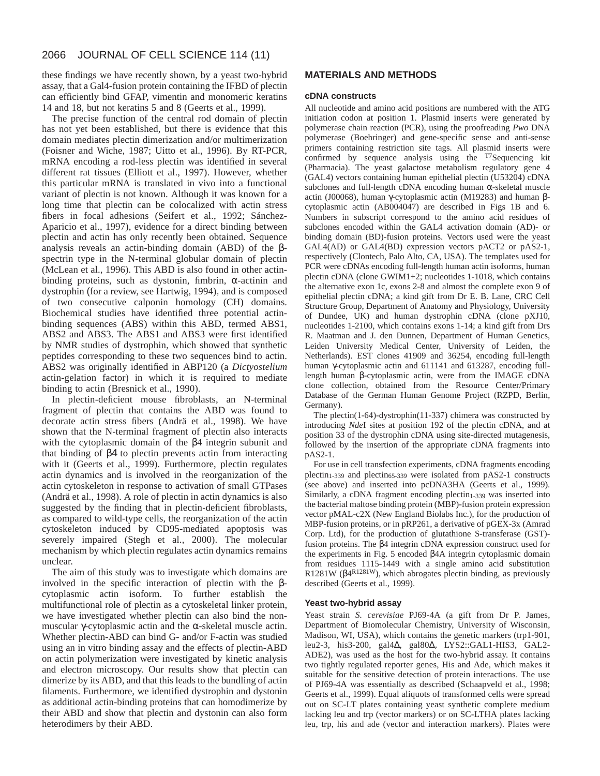these findings we have recently shown, by a yeast two-hybrid assay, that a Gal4-fusion protein containing the IFBD of plectin can efficiently bind GFAP, vimentin and monomeric keratins 14 and 18, but not keratins 5 and 8 (Geerts et al., 1999).

The precise function of the central rod domain of plectin has not yet been established, but there is evidence that this domain mediates plectin dimerization and/or multimerization (Foisner and Wiche, 1987; Uitto et al., 1996). By RT-PCR, mRNA encoding a rod-less plectin was identified in several different rat tissues (Elliott et al., 1997). However, whether this particular mRNA is translated in vivo into a functional variant of plectin is not known. Although it was known for a long time that plectin can be colocalized with actin stress fibers in focal adhesions (Seifert et al., 1992; Sánchez-Aparicio et al., 1997), evidence for a direct binding between plectin and actin has only recently been obtained. Sequence analysis reveals an actin-binding domain (ABD) of the βspectrin type in the N-terminal globular domain of plectin (McLean et al., 1996). This ABD is also found in other actinbinding proteins, such as dystonin, fimbrin, α-actinin and dystrophin (for a review, see Hartwig, 1994), and is composed of two consecutive calponin homology (CH) domains. Biochemical studies have identified three potential actinbinding sequences (ABS) within this ABD, termed ABS1, ABS2 and ABS3. The ABS1 and ABS3 were first identified by NMR studies of dystrophin, which showed that synthetic peptides corresponding to these two sequences bind to actin. ABS2 was originally identified in ABP120 (a *Dictyostelium* actin-gelation factor) in which it is required to mediate binding to actin (Bresnick et al., 1990).

In plectin-deficient mouse fibroblasts, an N-terminal fragment of plectin that contains the ABD was found to decorate actin stress fibers (Andrä et al., 1998). We have shown that the N-terminal fragment of plectin also interacts with the cytoplasmic domain of the β4 integrin subunit and that binding of β4 to plectin prevents actin from interacting with it (Geerts et al., 1999). Furthermore, plectin regulates actin dynamics and is involved in the reorganization of the actin cytoskeleton in response to activation of small GTPases (Andrä et al., 1998). A role of plectin in actin dynamics is also suggested by the finding that in plectin-deficient fibroblasts, as compared to wild-type cells, the reorganization of the actin cytoskeleton induced by CD95-mediated apoptosis was severely impaired (Stegh et al., 2000). The molecular mechanism by which plectin regulates actin dynamics remains unclear.

The aim of this study was to investigate which domains are involved in the specific interaction of plectin with the βcytoplasmic actin isoform. To further establish the multifunctional role of plectin as a cytoskeletal linker protein, we have investigated whether plectin can also bind the nonmuscular γ-cytoplasmic actin and the α-skeletal muscle actin. Whether plectin-ABD can bind G- and/or F-actin was studied using an in vitro binding assay and the effects of plectin-ABD on actin polymerization were investigated by kinetic analysis and electron microscopy. Our results show that plectin can dimerize by its ABD, and that this leads to the bundling of actin filaments. Furthermore, we identified dystrophin and dystonin as additional actin-binding proteins that can homodimerize by their ABD and show that plectin and dystonin can also form heterodimers by their ABD.

# **MATERIALS AND METHODS**

### **cDNA constructs**

All nucleotide and amino acid positions are numbered with the ATG initiation codon at position 1. Plasmid inserts were generated by polymerase chain reaction (PCR), using the proofreading *Pwo* DNA polymerase (Boehringer) and gene-specific sense and anti-sense primers containing restriction site tags. All plasmid inserts were confirmed by sequence analysis using the  $T$ Sequencing kit (Pharmacia). The yeast galactose metabolism regulatory gene 4 (GAL4) vectors containing human epithelial plectin (U53204) cDNA subclones and full-length cDNA encoding human α-skeletal muscle actin (J00068), human γ-cytoplasmic actin (M19283) and human βcytoplasmic actin (AB004047) are described in Figs 1B and 6. Numbers in subscript correspond to the amino acid residues of subclones encoded within the GAL4 activation domain (AD)- or binding domain (BD)-fusion proteins. Vectors used were the yeast GAL4(AD) or GAL4(BD) expression vectors pACT2 or pAS2-1, respectively (Clontech, Palo Alto, CA, USA). The templates used for PCR were cDNAs encoding full-length human actin isoforms, human plectin cDNA (clone GWIM1+2; nucleotides 1-1018, which contains the alternative exon 1c, exons 2-8 and almost the complete exon 9 of epithelial plectin cDNA; a kind gift from Dr E. B. Lane, CRC Cell Structure Group, Department of Anatomy and Physiology, University of Dundee, UK) and human dystrophin cDNA (clone pXJ10, nucleotides 1-2100, which contains exons 1-14; a kind gift from Drs R. Maatman and J. den Dunnen, Department of Human Genetics, Leiden University Medical Center, University of Leiden, the Netherlands). EST clones 41909 and 36254, encoding full-length human γ-cytoplasmic actin and 611141 and 613287, encoding fulllength human β-cytoplasmic actin, were from the IMAGE cDNA clone collection, obtained from the Resource Center/Primary Database of the German Human Genome Project (RZPD, Berlin, Germany).

The plectin(1-64)-dystrophin(11-337) chimera was constructed by introducing *Nde*I sites at position 192 of the plectin cDNA, and at position 33 of the dystrophin cDNA using site-directed mutagenesis, followed by the insertion of the appropriate cDNA fragments into pAS2-1.

For use in cell transfection experiments, cDNA fragments encoding plectin<sub>1-339</sub> and plectin<sub>65-339</sub> were isolated from pAS2-1 constructs (see above) and inserted into pcDNA3HA (Geerts et al., 1999). Similarly, a cDNA fragment encoding plectin<sub>1-339</sub> was inserted into the bacterial maltose binding protein (MBP)-fusion protein expression vector pMAL-c2X (New England Biolabs Inc.), for the production of MBP-fusion proteins, or in pRP261, a derivative of pGEX-3x (Amrad Corp. Ltd), for the production of glutathione S-transferase (GST) fusion proteins. The β4 integrin cDNA expression construct used for the experiments in Fig. 5 encoded β4A integrin cytoplasmic domain from residues 1115-1449 with a single amino acid substitution R1281W ( $\beta$ 4<sup>R1281W</sup>), which abrogates plectin binding, as previously described (Geerts et al., 1999).

#### **Yeast two-hybrid assay**

Yeast strain *S. cerevisiae* PJ69-4A (a gift from Dr P. James, Department of Biomolecular Chemistry, University of Wisconsin, Madison, WI, USA), which contains the genetic markers (trp1-901, leu2-3, his3-200, gal4∆, gal80∆, LYS2::GAL1-HIS3, GAL2- ADE2), was used as the host for the two-hybrid assay. It contains two tightly regulated reporter genes, His and Ade, which makes it suitable for the sensitive detection of protein interactions. The use of PJ69-4A was essentially as described (Schaapveld et al., 1998; Geerts et al., 1999). Equal aliquots of transformed cells were spread out on SC-LT plates containing yeast synthetic complete medium lacking leu and trp (vector markers) or on SC-LTHA plates lacking leu, trp, his and ade (vector and interaction markers). Plates were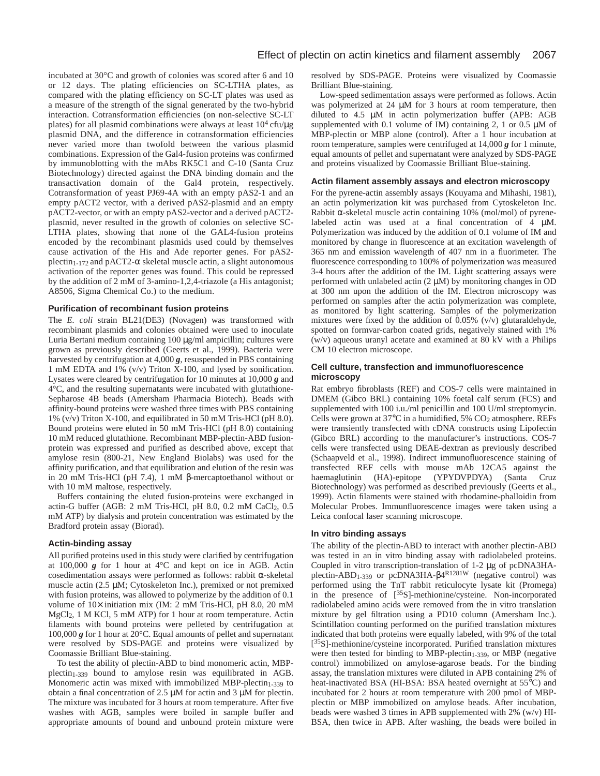incubated at 30°C and growth of colonies was scored after 6 and 10 or 12 days. The plating efficiencies on SC-LTHA plates, as compared with the plating efficiency on SC-LT plates was used as a measure of the strength of the signal generated by the two-hybrid interaction. Cotransformation efficiencies (on non-selective SC-LT plates) for all plasmid combinations were always at least  $10^4$  cfu/ $\mu$ g plasmid DNA, and the difference in cotransformation efficiencies never varied more than twofold between the various plasmid combinations. Expression of the Gal4-fusion proteins was confirmed by immunoblotting with the mAbs RK5C1 and C-10 (Santa Cruz Biotechnology) directed against the DNA binding domain and the transactivation domain of the Gal4 protein, respectively. Cotransformation of yeast PJ69-4A with an empty pAS2-1 and an empty pACT2 vector, with a derived pAS2-plasmid and an empty pACT2-vector, or with an empty pAS2-vector and a derived pACT2 plasmid, never resulted in the growth of colonies on selective SC-LTHA plates, showing that none of the GAL4-fusion proteins encoded by the recombinant plasmids used could by themselves cause activation of the His and Ade reporter genes. For pAS2 plectin<sub>1-172</sub> and pACT2- $\alpha$  skeletal muscle actin, a slight autonomous activation of the reporter genes was found. This could be repressed by the addition of 2 mM of 3-amino-1,2,4-triazole (a His antagonist; A8506, Sigma Chemical Co.) to the medium.

#### **Purification of recombinant fusion proteins**

The *E. coli* strain BL21(DE3) (Novagen) was transformed with recombinant plasmids and colonies obtained were used to inoculate Luria Bertani medium containing 100 µg/ml ampicillin; cultures were grown as previously described (Geerts et al., 1999). Bacteria were harvested by centrifugation at 4,000 *g*, resuspended in PBS containing 1 mM EDTA and 1% (v/v) Triton X-100, and lysed by sonification. Lysates were cleared by centrifugation for 10 minutes at 10,000 *g* and 4°C, and the resulting supernatants were incubated with glutathione-Sepharose 4B beads (Amersham Pharmacia Biotech). Beads with affinity-bound proteins were washed three times with PBS containing 1% (v/v) Triton X-100, and equilibrated in 50 mM Tris-HCl (pH 8.0). Bound proteins were eluted in 50 mM Tris-HCl (pH 8.0) containing 10 mM reduced glutathione. Recombinant MBP-plectin-ABD fusionprotein was expressed and purified as described above, except that amylose resin (800-21, New England Biolabs) was used for the affinity purification, and that equilibration and elution of the resin was in 20 mM Tris-HCl (pH 7.4), 1 mM β-mercaptoethanol without or with 10 mM maltose, respectively.

Buffers containing the eluted fusion-proteins were exchanged in actin-G buffer (AGB: 2 mM Tris-HCl, pH 8.0, 0.2 mM CaCl2, 0.5 mM ATP) by dialysis and protein concentration was estimated by the Bradford protein assay (Biorad).

### **Actin-binding assay**

All purified proteins used in this study were clarified by centrifugation at 100,000 *g* for 1 hour at 4°C and kept on ice in AGB. Actin cosedimentation assays were performed as follows: rabbit α-skeletal muscle actin (2.5 µM; Cytoskeleton Inc.), premixed or not premixed with fusion proteins, was allowed to polymerize by the addition of 0.1 volume of 10× initiation mix (IM: 2 mM Tris-HCl, pH 8.0, 20 mM MgCl2, 1 M KCl, 5 mM ATP) for 1 hour at room temperature. Actin filaments with bound proteins were pelleted by centrifugation at 100,000 *g* for 1 hour at 20°C. Equal amounts of pellet and supernatant were resolved by SDS-PAGE and proteins were visualized by Coomassie Brilliant Blue-staining.

To test the ability of plectin-ABD to bind monomeric actin, MBPplectin1-339 bound to amylose resin was equilibrated in AGB. Monomeric actin was mixed with immobilized MBP-plectin<sub>1-339</sub> to obtain a final concentration of 2.5 µM for actin and 3 µM for plectin. The mixture was incubated for 3 hours at room temperature. After five washes with AGB, samples were boiled in sample buffer and appropriate amounts of bound and unbound protein mixture were resolved by SDS-PAGE. Proteins were visualized by Coomassie Brilliant Blue-staining.

Low-speed sedimentation assays were performed as follows. Actin was polymerized at 24  $\mu$ M for 3 hours at room temperature, then diluted to 4.5 µM in actin polymerization buffer (APB: AGB supplemented with 0.1 volume of IM) containing 2, 1 or 0.5  $\mu$ M of MBP-plectin or MBP alone (control). After a 1 hour incubation at room temperature, samples were centrifuged at 14,000 *g* for 1 minute, equal amounts of pellet and supernatant were analyzed by SDS-PAGE and proteins visualized by Coomassie Brilliant Blue-staining.

#### **Actin filament assembly assays and electron microscopy**

For the pyrene-actin assembly assays (Kouyama and Mihashi, 1981), an actin polymerization kit was purchased from Cytoskeleton Inc. Rabbit  $\alpha$ -skeletal muscle actin containing 10% (mol/mol) of pyrenelabeled actin was used at a final concentration of 4 µM. Polymerization was induced by the addition of 0.1 volume of IM and monitored by change in fluorescence at an excitation wavelength of 365 nm and emission wavelength of 407 nm in a fluorimeter. The fluorescence corresponding to 100% of polymerization was measured 3-4 hours after the addition of the IM. Light scattering assays were performed with unlabeled actin  $(2 \mu M)$  by monitoring changes in OD at 300 nm upon the addition of the IM. Electron microscopy was performed on samples after the actin polymerization was complete, as monitored by light scattering. Samples of the polymerization mixtures were fixed by the addition of 0.05% (v/v) glutaraldehyde, spotted on formvar-carbon coated grids, negatively stained with 1% (w/v) aqueous uranyl acetate and examined at 80 kV with a Philips CM 10 electron microscope.

#### **Cell culture, transfection and immunofluorescence microscopy**

Rat embryo fibroblasts (REF) and COS-7 cells were maintained in DMEM (Gibco BRL) containing 10% foetal calf serum (FCS) and supplemented with 100 i.u./ml penicillin and 100 U/ml streptomycin. Cells were grown at 37°C in a humidified, 5% CO<sub>2</sub> atmosphere. REFs were transiently transfected with cDNA constructs using Lipofectin (Gibco BRL) according to the manufacturer's instructions. COS-7 cells were transfected using DEAE-dextran as previously described (Schaapveld et al., 1998). Indirect immunofluorescence staining of transfected REF cells with mouse mAb 12CA5 against the haemaglutinin (HA)-epitope (YPYDVPDYA) (Santa Cruz Biotechnology) was performed as described previously (Geerts et al., 1999). Actin filaments were stained with rhodamine-phalloidin from Molecular Probes. Immunfluorescence images were taken using a Leica confocal laser scanning microscope.

#### **In vitro binding assays**

The ability of the plectin-ABD to interact with another plectin-ABD was tested in an in vitro binding assay with radiolabeled proteins. Coupled in vitro transcription-translation of 1-2 µg of pcDNA3HAplectin-ABD1-339 or pcDNA3HA-β4R1281W (negative control) was performed using the TnT rabbit reticulocyte lysate kit (Promega) in the presence of  $\left[35\right]$ -methionine/cysteine. Non-incorporated radiolabeled amino acids were removed from the in vitro translation mixture by gel filtration using a PD10 column (Amersham Inc.). Scintillation counting performed on the purified translation mixtures indicated that both proteins were equally labeled, with 9% of the total [<sup>35</sup>S]-methionine/cysteine incorporated. Purified translation mixtures were then tested for binding to MBP-plectin<sub>1-339</sub>, or MBP (negative control) immobilized on amylose-agarose beads. For the binding assay, the translation mixtures were diluted in APB containing 2% of heat-inactivated BSA (HI-BSA: BSA heated overnight at 55°C) and incubated for 2 hours at room temperature with 200 pmol of MBPplectin or MBP immobilized on amylose beads. After incubation, beads were washed 3 times in APB supplemented with 2% (w/v) HI-BSA, then twice in APB. After washing, the beads were boiled in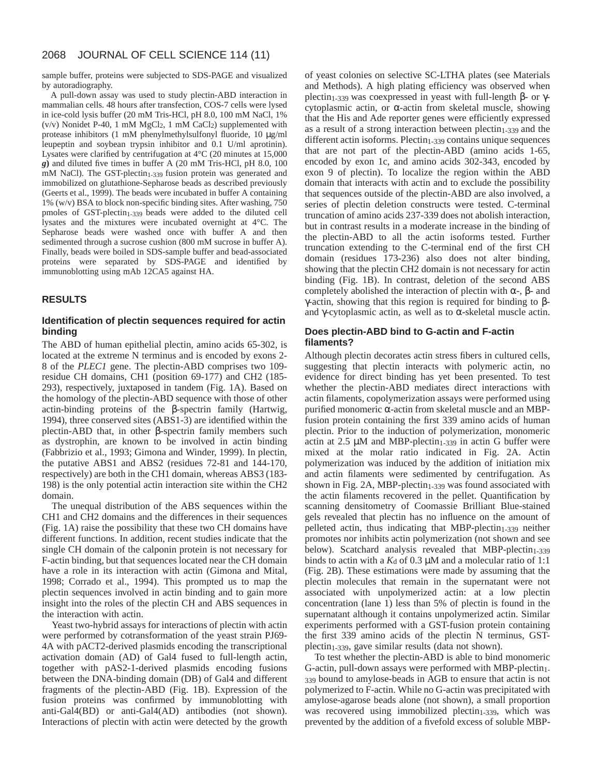sample buffer, proteins were subjected to SDS-PAGE and visualized by autoradiography.

A pull-down assay was used to study plectin-ABD interaction in mammalian cells. 48 hours after transfection, COS-7 cells were lysed in ice-cold lysis buffer (20 mM Tris-HCl, pH 8.0, 100 mM NaCl, 1% ( $v/v$ ) Nonidet P-40, 1 mM MgCl<sub>2</sub>, 1 mM CaCl<sub>2</sub>) supplemented with protease inhibitors (1 mM phenylmethylsulfonyl fluoride, 10 µg/ml leupeptin and soybean trypsin inhibitor and 0.1 U/ml aprotinin). Lysates were clarified by centrifugation at 4°C (20 minutes at 15,000 *g***)** and diluted five times in buffer A (20 mM Tris-HCl, pH 8.0, 100 mM NaCl). The GST-plectin<sub>1-339</sub> fusion protein was generated and immobilized on glutathione-Sepharose beads as described previously (Geerts et al., 1999). The beads were incubated in buffer A containing 1% (w/v) BSA to block non-specific binding sites. After washing, 750 pmoles of GST-plectin<sub>1-339</sub> beads were added to the diluted cell lysates and the mixtures were incubated overnight at 4°C. The Sepharose beads were washed once with buffer A and then sedimented through a sucrose cushion (800 mM sucrose in buffer A). Finally, beads were boiled in SDS-sample buffer and bead-associated proteins were separated by SDS-PAGE and identified by immunoblotting using mAb 12CA5 against HA.

# **RESULTS**

# **Identification of plectin sequences required for actin binding**

The ABD of human epithelial plectin, amino acids 65-302, is located at the extreme N terminus and is encoded by exons 2- 8 of the *PLEC1* gene. The plectin-ABD comprises two 109 residue CH domains, CH1 (position 69-177) and CH2 (185- 293), respectively, juxtaposed in tandem (Fig. 1A). Based on the homology of the plectin-ABD sequence with those of other actin-binding proteins of the β-spectrin family (Hartwig, 1994), three conserved sites (ABS1-3) are identified within the plectin-ABD that, in other β-spectrin family members such as dystrophin, are known to be involved in actin binding (Fabbrizio et al., 1993; Gimona and Winder, 1999). In plectin, the putative ABS1 and ABS2 (residues 72-81 and 144-170, respectively) are both in the CH1 domain, whereas ABS3 (183- 198) is the only potential actin interaction site within the CH2 domain.

The unequal distribution of the ABS sequences within the CH1 and CH2 domains and the differences in their sequences (Fig. 1A) raise the possibility that these two CH domains have different functions. In addition, recent studies indicate that the single CH domain of the calponin protein is not necessary for F-actin binding, but that sequences located near the CH domain have a role in its interaction with actin (Gimona and Mital, 1998; Corrado et al., 1994). This prompted us to map the plectin sequences involved in actin binding and to gain more insight into the roles of the plectin CH and ABS sequences in the interaction with actin.

Yeast two-hybrid assays for interactions of plectin with actin were performed by cotransformation of the yeast strain PJ69- 4A with pACT2-derived plasmids encoding the transcriptional activation domain (AD) of Gal4 fused to full-length actin, together with pAS2-1-derived plasmids encoding fusions between the DNA-binding domain (DB) of Gal4 and different fragments of the plectin-ABD (Fig. 1B). Expression of the fusion proteins was confirmed by immunoblotting with anti-Gal4(BD) or anti-Gal4(AD) antibodies (not shown). Interactions of plectin with actin were detected by the growth

of yeast colonies on selective SC-LTHA plates (see Materials and Methods). A high plating efficiency was observed when plectin<sub>1-339</sub> was coexpressed in yeast with full-length β- or γcytoplasmic actin, or α-actin from skeletal muscle, showing that the His and Ade reporter genes were efficiently expressed as a result of a strong interaction between  $p$  lectin<sub>1-339</sub> and the  $d$ ifferent actin isoforms. Plectin<sub>1-339</sub> contains unique sequences that are not part of the plectin-ABD (amino acids 1-65, encoded by exon 1c, and amino acids 302-343, encoded by exon 9 of plectin). To localize the region within the ABD domain that interacts with actin and to exclude the possibility that sequences outside of the plectin-ABD are also involved, a series of plectin deletion constructs were tested. C-terminal truncation of amino acids 237-339 does not abolish interaction, but in contrast results in a moderate increase in the binding of the plectin-ABD to all the actin isoforms tested. Further truncation extending to the C-terminal end of the first CH domain (residues 173-236) also does not alter binding, showing that the plectin CH2 domain is not necessary for actin binding (Fig. 1B). In contrast, deletion of the second ABS completely abolished the interaction of plectin with  $\alpha$ -,  $\beta$ - and  $γ$ -actin, showing that this region is required for binding to  $β$ and γ-cytoplasmic actin, as well as to α-skeletal muscle actin.

# **Does plectin-ABD bind to G-actin and F-actin filaments?**

Although plectin decorates actin stress fibers in cultured cells, suggesting that plectin interacts with polymeric actin, no evidence for direct binding has yet been presented. To test whether the plectin-ABD mediates direct interactions with actin filaments, copolymerization assays were performed using purified monomeric α-actin from skeletal muscle and an MBPfusion protein containing the first 339 amino acids of human plectin. Prior to the induction of polymerization, monomeric actin at  $2.5 \mu M$  and MBP-plectin<sub>1-339</sub> in actin G buffer were mixed at the molar ratio indicated in Fig. 2A. Actin polymerization was induced by the addition of initiation mix and actin filaments were sedimented by centrifugation. As shown in Fig. 2A, MBP-plectin $_{1-339}$  was found associated with the actin filaments recovered in the pellet. Quantification by scanning densitometry of Coomassie Brilliant Blue-stained gels revealed that plectin has no influence on the amount of pelleted actin, thus indicating that MBP-plectin $_{1-339}$  neither promotes nor inhibits actin polymerization (not shown and see below). Scatchard analysis revealed that MBP-plectin<sub>1-339</sub> binds to actin with a  $K_d$  of 0.3  $\mu$ M and a molecular ratio of 1:1 (Fig. 2B). These estimations were made by assuming that the plectin molecules that remain in the supernatant were not associated with unpolymerized actin: at a low plectin concentration (lane 1) less than 5% of plectin is found in the supernatant although it contains unpolymerized actin. Similar experiments performed with a GST-fusion protein containing the first 339 amino acids of the plectin N terminus, GSTplectin<sub>1-339</sub>, gave similar results (data not shown).

To test whether the plectin-ABD is able to bind monomeric G-actin, pull-down assays were performed with MBP-plectin1- 339 bound to amylose-beads in AGB to ensure that actin is not polymerized to F-actin. While no G-actin was precipitated with amylose-agarose beads alone (not shown), a small proportion was recovered using immobilized plectin<sub>1-339</sub>, which was prevented by the addition of a fivefold excess of soluble MBP-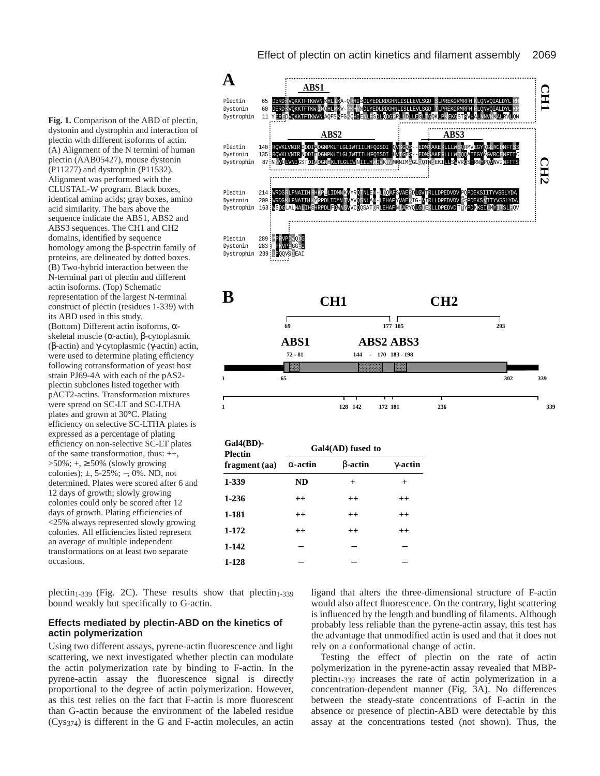**Fig. 1.** Comparison of the ABD of plectin, dystonin and dystrophin and interaction of plectin with different isoforms of actin. (A) Alignment of the N termini of human plectin (AAB05427), mouse dystonin (P11277) and dystrophin (P11532). Alignment was performed with the CLUSTAL-W program*.* Black boxes, identical amino acids; gray boxes, amino acid similarity. The bars above the sequence indicate the ABS1, ABS2 and ABS3 sequences. The CH1 and CH2 domains, identified by sequence homology among the β-spectrin family of proteins, are delineated by dotted boxes. (B) Two-hybrid interaction between the N-terminal part of plectin and different actin isoforms. (Top) Schematic representation of the largest N-terminal construct of plectin (residues 1-339) with its ABD used in this study. (Bottom) Different actin isoforms, αskeletal muscle (α-actin), β-cytoplasmic (β-actin) and γ-cytoplasmic (γ-actin) actin, were used to determine plating efficiency following cotransformation of yeast host strain PJ69-4A with each of the pAS2 plectin subclones listed together with pACT2-actins. Transformation mixtures were spread on SC-LT and SC-LTHA plates and grown at 30°C. Plating efficiency on selective SC-LTHA plates is expressed as a percentage of plating efficiency on non-selective SC-LT plates of the same transformation, thus: ++, >50%; +, ≥ 50% (slowly growing colonies); ±, 5-25%; −, 0%. ND, not determined. Plates were scored after 6 and 12 days of growth; slowly growing colonies could only be scored after 12 days of growth. Plating efficiencies of <25% always represented slowly growing colonies. All efficiencies listed represent an average of multiple independent transformations on at least two separate occasions.

plectin<sub>1-339</sub> (Fig. 2C). These results show that plectin<sub>1-339</sub> bound weakly but specifically to G-actin.

# **Effects mediated by plectin-ABD on the kinetics of actin polymerization**

Using two different assays, pyrene-actin fluorescence and light scattering, we next investigated whether plectin can modulate the actin polymerization rate by binding to F-actin. In the pyrene-actin assay the fluorescence signal is directly proportional to the degree of actin polymerization. However, as this test relies on the fact that F-actin is more fluorescent than G-actin because the environment of the labeled residue (Cys374) is different in the G and F-actin molecules, an actin



| $Gal(BD)$ -<br><b>Plectin</b><br>fragment (aa) | Gal4(AD) fused to |                |                 |
|------------------------------------------------|-------------------|----------------|-----------------|
|                                                | $\alpha$ -actin   | <b>B-actin</b> | $\gamma$ -actin |
| 1-339                                          | <b>ND</b>         | $\pm$          | $\pm$           |
| $1 - 236$                                      | $^{++}$           | $^{++}$        | $^{++}$         |
| 1-181                                          | $^{++}$           | $^{++}$        | $^{++}$         |
| 1-172                                          | $^{++}$           | $^{++}$        | $^{++}$         |
| 1-142                                          |                   |                |                 |
| 1-128                                          |                   |                |                 |

ligand that alters the three-dimensional structure of F-actin would also affect fluorescence. On the contrary, light scattering is influenced by the length and bundling of filaments. Although probably less reliable than the pyrene-actin assay, this test has the advantage that unmodified actin is used and that it does not rely on a conformational change of actin.

Testing the effect of plectin on the rate of actin polymerization in the pyrene-actin assay revealed that MBPplectin1-339 increases the rate of actin polymerization in a concentration-dependent manner (Fig. 3A). No differences between the steady-state concentrations of F-actin in the absence or presence of plectin-ABD were detectable by this assay at the concentrations tested (not shown). Thus, the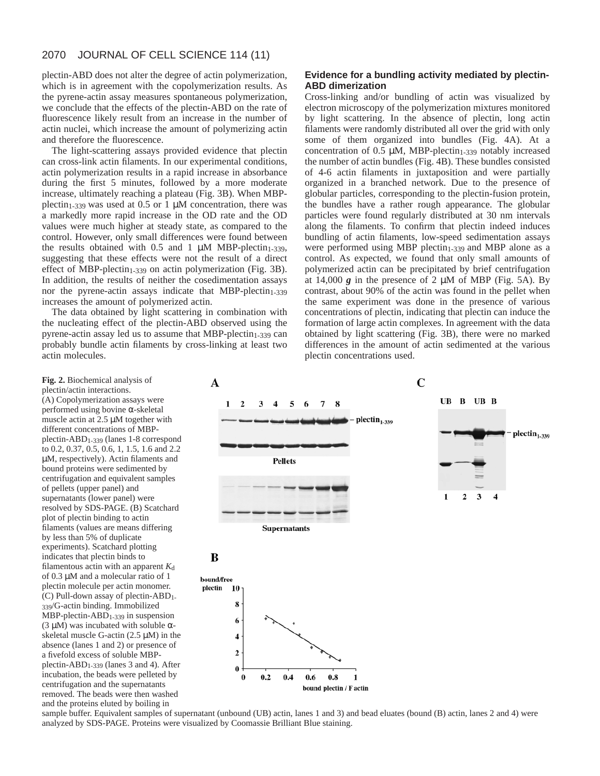plectin-ABD does not alter the degree of actin polymerization, which is in agreement with the copolymerization results. As the pyrene-actin assay measures spontaneous polymerization, we conclude that the effects of the plectin-ABD on the rate of fluorescence likely result from an increase in the number of actin nuclei, which increase the amount of polymerizing actin and therefore the fluorescence.

The light-scattering assays provided evidence that plectin can cross-link actin filaments. In our experimental conditions, actin polymerization results in a rapid increase in absorbance during the first 5 minutes, followed by a more moderate increase, ultimately reaching a plateau (Fig. 3B). When MBPplectin<sub>1-339</sub> was used at 0.5 or 1  $\mu$ M concentration, there was a markedly more rapid increase in the OD rate and the OD values were much higher at steady state, as compared to the control. However, only small differences were found between the results obtained with  $0.5$  and  $1 \mu M$  MBP-plectin<sub>1-339</sub>, suggesting that these effects were not the result of a direct effect of MBP-plectin $_{1-339}$  on actin polymerization (Fig. 3B). In addition, the results of neither the cosedimentation assays nor the pyrene-actin assays indicate that MBP-plectin $_{1-339}$ increases the amount of polymerized actin.

The data obtained by light scattering in combination with the nucleating effect of the plectin-ABD observed using the pyrene-actin assay led us to assume that MBP-plectin $_{1-339}$  can probably bundle actin filaments by cross-linking at least two actin molecules.

# **Evidence for a bundling activity mediated by plectin-ABD dimerization**

Cross-linking and/or bundling of actin was visualized by electron microscopy of the polymerization mixtures monitored by light scattering. In the absence of plectin, long actin filaments were randomly distributed all over the grid with only some of them organized into bundles (Fig. 4A). At a concentration of  $0.5 \mu M$ , MBP-plectin<sub>1-339</sub> notably increased the number of actin bundles (Fig. 4B). These bundles consisted of 4-6 actin filaments in juxtaposition and were partially organized in a branched network. Due to the presence of globular particles, corresponding to the plectin-fusion protein, the bundles have a rather rough appearance. The globular particles were found regularly distributed at 30 nm intervals along the filaments. To confirm that plectin indeed induces bundling of actin filaments, low-speed sedimentation assays were performed using MBP plectin<sub>1-339</sub> and MBP alone as a control. As expected, we found that only small amounts of polymerized actin can be precipitated by brief centrifugation at  $14,000$   $g$  in the presence of  $2 \mu M$  of MBP (Fig. 5A). By contrast, about 90% of the actin was found in the pellet when the same experiment was done in the presence of various concentrations of plectin, indicating that plectin can induce the formation of large actin complexes. In agreement with the data obtained by light scattering (Fig. 3B), there were no marked differences in the amount of actin sedimented at the various plectin concentrations used.

**Fig. 2.** Biochemical analysis of plectin/actin interactions. (A) Copolymerization assays were performed using bovine α-skeletal muscle actin at 2.5 µM together with different concentrations of MBPplectin-ABD1-339 (lanes 1-8 correspond to 0.2, 0.37, 0.5, 0.6, 1, 1.5, 1.6 and 2.2 µM, respectively). Actin filaments and bound proteins were sedimented by centrifugation and equivalent samples of pellets (upper panel) and supernatants (lower panel) were resolved by SDS-PAGE. (B) Scatchard plot of plectin binding to actin filaments (values are means differing by less than 5% of duplicate experiments). Scatchard plotting indicates that plectin binds to filamentous actin with an apparent  $K_d$ of 0.3 µM and a molecular ratio of 1 plectin molecule per actin monomer. (C) Pull-down assay of plectin-ABD1- 339/G-actin binding. Immobilized  $MBP$ -plectin-ABD<sub>1-339</sub> in suspension (3 µM) was incubated with soluble αskeletal muscle G-actin  $(2.5 \mu M)$  in the absence (lanes 1 and 2) or presence of a fivefold excess of soluble MBPplectin-ABD1-339 (lanes 3 and 4). After incubation, the beads were pelleted by centrifugation and the supernatants removed. The beads were then washed and the proteins eluted by boiling in



bound plectin / F actin

sample buffer. Equivalent samples of supernatant (unbound (UB) actin, lanes 1 and 3) and bead eluates (bound (B) actin, lanes 2 and 4) were analyzed by SDS-PAGE. Proteins were visualized by Coomassie Brilliant Blue staining.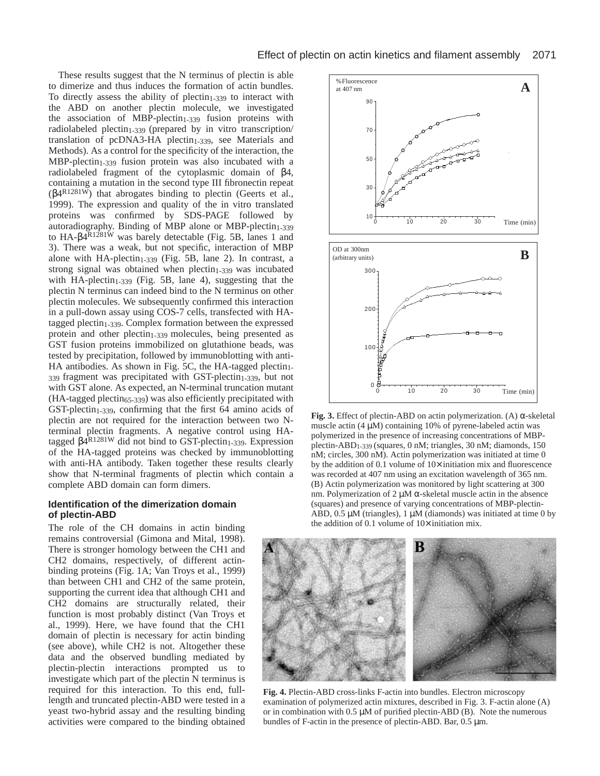These results suggest that the N terminus of plectin is able to dimerize and thus induces the formation of actin bundles. To directly assess the ability of  $plectin<sub>1-339</sub>$  to interact with the ABD on another plectin molecule, we investigated the association of MBP-plectin<sub>1-339</sub> fusion proteins with radiolabeled plectin<sub>1-339</sub> (prepared by in vitro transcription/ translation of pcDNA3-HA plectin<sub>1-339</sub>, see Materials and Methods). As a control for the specificity of the interaction, the  $MBP-plectin<sub>1-339</sub>$  fusion protein was also incubated with a radiolabeled fragment of the cytoplasmic domain of β4, containing a mutation in the second type III fibronectin repeat ( $β4<sup>R1281W</sup>$ ) that abrogates binding to plectin (Geerts et al., 1999). The expression and quality of the in vitro translated proteins was confirmed by SDS-PAGE followed by autoradiography. Binding of MBP alone or MBP-plectin<sub>1-339</sub> to HA-β4R1281W was barely detectable (Fig. 5B*,* lanes 1 and 3). There was a weak, but not specific, interaction of MBP alone with  $HA$ -plectin<sub>1-339</sub> (Fig. 5B, lane 2). In contrast, a strong signal was obtained when  $plectin<sub>1-339</sub>$  was incubated with HA-plectin<sub>1-339</sub> (Fig. 5B, lane 4), suggesting that the plectin N terminus can indeed bind to the N terminus on other plectin molecules. We subsequently confirmed this interaction in a pull-down assay using COS-7 cells, transfected with HAtagged plectin<sub>1-339</sub>. Complex formation between the expressed protein and other plectin<sub>1-339</sub> molecules, being presented as GST fusion proteins immobilized on glutathione beads, was tested by precipitation, followed by immunoblotting with anti-HA antibodies. As shown in Fig. 5C, the HA-tagged plectin $<sub>1</sub>$ -</sub> 339 fragment was precipitated with GST-plectin1-339, but not with GST alone. As expected, an N-terminal truncation mutant  $(HA-tagged plectin<sub>65-339</sub>)$  was also efficiently precipitated with GST-plectin<sub>1-339</sub>, confirming that the first 64 amino acids of plectin are not required for the interaction between two Nterminal plectin fragments. A negative control using HAtagged  $β$ <sup>R1281W</sup> did not bind to GST-plectin<sub>1-339</sub>. Expression of the HA-tagged proteins was checked by immunoblotting with anti-HA antibody. Taken together these results clearly show that N-terminal fragments of plectin which contain a complete ABD domain can form dimers.

### **Identification of the dimerization domain of plectin-ABD**

The role of the CH domains in actin binding remains controversial (Gimona and Mital, 1998). There is stronger homology between the CH1 and CH2 domains, respectively, of different actinbinding proteins (Fig. 1A; Van Troys et al., 1999) than between CH1 and CH2 of the same protein, supporting the current idea that although CH1 and CH2 domains are structurally related, their function is most probably distinct (Van Troys et al., 1999). Here, we have found that the CH1 domain of plectin is necessary for actin binding (see above), while CH2 is not. Altogether these data and the observed bundling mediated by plectin-plectin interactions prompted us to investigate which part of the plectin N terminus is required for this interaction. To this end, fulllength and truncated plectin-ABD were tested in a yeast two-hybrid assay and the resulting binding activities were compared to the binding obtained



**Fig. 3.** Effect of plectin-ABD on actin polymerization. (A) α-skeletal muscle actin  $(4 \mu M)$  containing 10% of pyrene-labeled actin was polymerized in the presence of increasing concentrations of MBPplectin-ABD1-339 (squares, 0 nM; triangles, 30 nM; diamonds, 150 nM; circles, 300 nM). Actin polymerization was initiated at time 0 by the addition of 0.1 volume of  $10\times$  initiation mix and fluorescence was recorded at 407 nm using an excitation wavelength of 365 nm. (B) Actin polymerization was monitored by light scattering at 300 nm. Polymerization of 2 μM α-skeletal muscle actin in the absence (squares) and presence of varying concentrations of MBP-plectin-ABD,  $0.5 \mu M$  (triangles), 1  $\mu M$  (diamonds) was initiated at time 0 by the addition of 0.1 volume of 10× initiation mix.



**Fig. 4.** Plectin-ABD cross-links F-actin into bundles. Electron microscopy examination of polymerized actin mixtures, described in Fig. 3. F-actin alone (A) or in combination with  $0.5 \mu M$  of purified plectin-ABD (B). Note the numerous bundles of F-actin in the presence of plectin-ABD. Bar, 0.5 µm.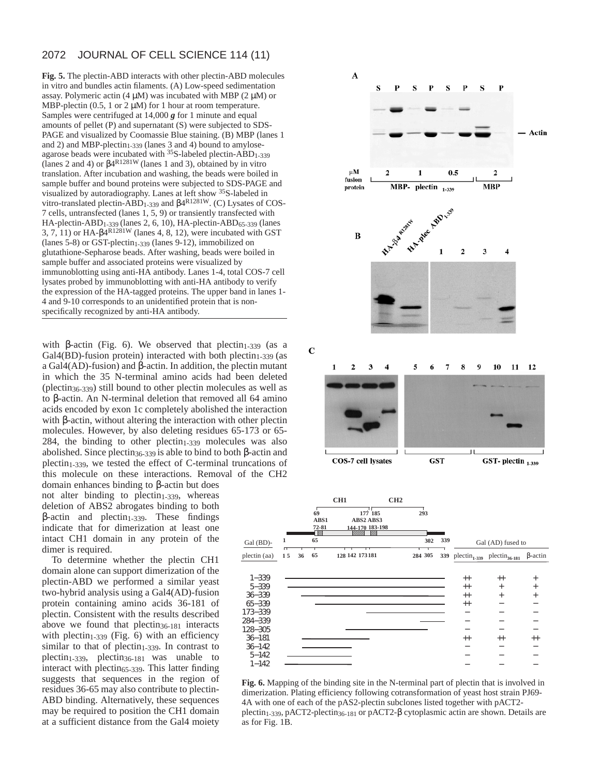**Fig. 5.** The plectin-ABD interacts with other plectin-ABD molecules in vitro and bundles actin filaments. (A) Low-speed sedimentation assay. Polymeric actin  $(4 \mu M)$  was incubated with MBP  $(2 \mu M)$  or MBP-plectin (0.5, 1 or 2  $\mu$ M) for 1 hour at room temperature. Samples were centrifuged at 14,000 *g* for 1 minute and equal amounts of pellet (P) and supernatant (S) were subjected to SDS-PAGE and visualized by Coomassie Blue staining. (B) MBP (lanes 1 and 2) and MBP-plectin<sub>1-339</sub> (lanes 3 and 4) bound to amyloseagarose beads were incubated with <sup>35</sup>S-labeled plectin-ABD<sub>1-339</sub> (lanes 2 and 4) or β4R1281W (lanes 1 and 3), obtained by in vitro translation. After incubation and washing, the beads were boiled in sample buffer and bound proteins were subjected to SDS-PAGE and visualized by autoradiography. Lanes at left show 35S-labeled in vitro-translated plectin-ABD1-339 and β4R1281W. (C) Lysates of COS-7 cells, untransfected (lanes 1, 5, 9) or transiently transfected with HA-plectin-ABD1-339 (lanes 2, 6, 10), HA-plectin-ABD65-339 (lanes 3, 7, 11) or HA- $\beta$ 4<sup>R1281W</sup> (lanes 4, 8, 12), were incubated with GST (lanes 5-8) or GST-plectin<sub>1-339</sub> (lanes 9-12), immobilized on glutathione-Sepharose beads. After washing, beads were boiled in sample buffer and associated proteins were visualized by immunoblotting using anti-HA antibody. Lanes 1-4, total COS-7 cell lysates probed by immunoblotting with anti-HA antibody to verify the expression of the HA-tagged proteins. The upper band in lanes 1- 4 and 9-10 corresponds to an unidentified protein that is nonspecifically recognized by anti-HA antibody.

with β-actin (Fig. 6). We observed that plectin<sub>1-339</sub> (as a  $Gal4(BD)$ -fusion protein) interacted with both plectin<sub>1-339</sub> (as a Gal4(AD)-fusion) and β-actin. In addition, the plectin mutant in which the 35 N-terminal amino acids had been deleted (plectin36-339) still bound to other plectin molecules as well as to β-actin. An N-terminal deletion that removed all 64 amino acids encoded by exon 1c completely abolished the interaction with β-actin, without altering the interaction with other plectin molecules. However, by also deleting residues 65-173 or 65- 284, the binding to other  $plectin<sub>1-339</sub>$  molecules was also abolished. Since plectin36-339 is able to bind to both β-actin and  $plectin<sub>1-339</sub>$ , we tested the effect of C-terminal truncations of this molecule on these interactions. Removal of the CH2

> 1−339 5−339 36−339 65−339 173−339 284−339 128−305 36−181 36−142 5−142 1−142

domain enhances binding to β-actin but does not alter binding to plectin $1-339$ , whereas deletion of ABS2 abrogates binding to both  $β$ -actin and plectin<sub>1-339</sub>. These findings indicate that for dimerization at least one intact CH1 domain in any protein of the dimer is required.

To determine whether the plectin CH1 domain alone can support dimerization of the plectin-ABD we performed a similar yeast two-hybrid analysis using a Gal4(AD)-fusion protein containing amino acids 36-181 of plectin. Consistent with the results described above we found that  $plectin_{36-181}$  interacts with plectin<sub>1-339</sub> (Fig. 6) with an efficiency similar to that of plectin $1-339$ . In contrast to plectin1-339, plectin36-181 was unable to interact with plectin<sub>65-339</sub>. This latter finding suggests that sequences in the region of residues 36-65 may also contribute to plectin-ABD binding. Alternatively, these sequences may be required to position the CH1 domain at a sufficient distance from the Gal4 moiety



**Fig. 6.** Mapping of the binding site in the N-terminal part of plectin that is involved in dimerization. Plating efficiency following cotransformation of yeast host strain PJ69- 4A with one of each of the pAS2-plectin subclones listed together with pACT2 plectin<sub>1-339</sub>, pACT2-plectin<sub>36-181</sub> or pACT2- $\beta$  cytoplasmic actin are shown. Details are as for Fig. 1B.

− − − −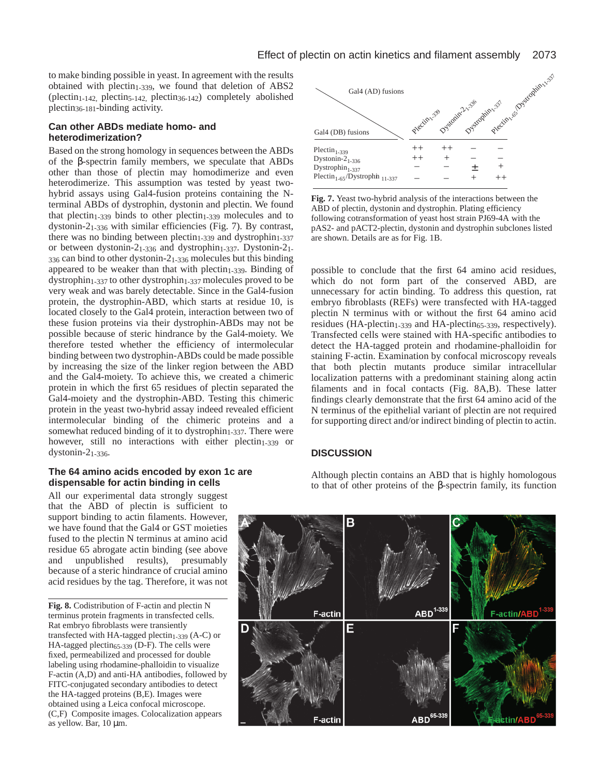to make binding possible in yeast. In agreement with the results obtained with plectin<sub>1-339</sub>, we found that deletion of ABS2 (plectin<sub>1-142,</sub> plectin<sub>5-142</sub>, plectin<sub>36-142</sub>) completely abolished plectin36-181-binding activity.

# **Can other ABDs mediate homo- and heterodimerization?**

Based on the strong homology in sequences between the ABDs of the β-spectrin family members, we speculate that ABDs other than those of plectin may homodimerize and even heterodimerize. This assumption was tested by yeast twohybrid assays using Gal4-fusion proteins containing the Nterminal ABDs of dystrophin, dystonin and plectin. We found that plectin<sub>1-339</sub> binds to other plectin<sub>1-339</sub> molecules and to dystonin-21-336 with similar efficiencies (Fig. 7). By contrast, there was no binding between plectin<sub>1-339</sub> and dystrophin<sub>1-337</sub> or between dystonin-21-336 and dystrophin1-337. Dystonin-21- 336 can bind to other dystonin-21-336 molecules but this binding appeared to be weaker than that with  $plectin<sub>1-339</sub>$ . Binding of dystrophin1-337 to other dystrophin1-337 molecules proved to be very weak and was barely detectable. Since in the Gal4-fusion protein, the dystrophin-ABD, which starts at residue 10, is located closely to the Gal4 protein, interaction between two of these fusion proteins via their dystrophin-ABDs may not be possible because of steric hindrance by the Gal4-moiety. We therefore tested whether the efficiency of intermolecular binding between two dystrophin-ABDs could be made possible by increasing the size of the linker region between the ABD and the Gal4-moiety. To achieve this, we created a chimeric protein in which the first 65 residues of plectin separated the Gal4-moiety and the dystrophin-ABD. Testing this chimeric protein in the yeast two-hybrid assay indeed revealed efficient intermolecular binding of the chimeric proteins and a somewhat reduced binding of it to dystrophin<sub>1-337</sub>. There were however, still no interactions with either plectin<sub>1-339</sub> or dystonin-21-336.

### **The 64 amino acids encoded by exon 1c are dispensable for actin binding in cells**

All our experimental data strongly suggest that the ABD of plectin is sufficient to support binding to actin filaments. However, we have found that the Gal4 or GST moieties fused to the plectin N terminus at amino acid residue 65 abrogate actin binding (see above and unpublished results), presumably because of a steric hindrance of crucial amino acid residues by the tag. Therefore, it was not

**Fig. 8.** Codistribution of F-actin and plectin N terminus protein fragments in transfected cells. Rat embryo fibroblasts were transiently transfected with HA-tagged plectin $_{1-339}$  (A-C) or HA-tagged plectin65-339 (D-F). The cells were fixed, permeabilized and processed for double labeling using rhodamine-phalloidin to visualize F-actin (A,D) and anti-HA antibodies, followed by FITC-conjugated secondary antibodies to detect the HA-tagged proteins (B,E). Images were obtained using a Leica confocal microscope. (C,F) Composite images. Colocalization appears as yellow. Bar, 10 µm.



**Fig. 7.** Yeast two-hybrid analysis of the interactions between the ABD of plectin, dystonin and dystrophin. Plating efficiency following cotransformation of yeast host strain PJ69-4A with the pAS2- and pACT2-plectin, dystonin and dystrophin subclones listed are shown. Details are as for Fig. 1B.

possible to conclude that the first 64 amino acid residues, which do not form part of the conserved ABD, are unnecessary for actin binding. To address this question, rat embryo fibroblasts (REFs) were transfected with HA-tagged plectin N terminus with or without the first 64 amino acid residues (HA-plectin<sub>1-339</sub> and HA-plectin<sub>65-339</sub>, respectively). Transfected cells were stained with HA-specific antibodies to detect the HA-tagged protein and rhodamine-phalloidin for staining F-actin. Examination by confocal microscopy reveals that both plectin mutants produce similar intracellular localization patterns with a predominant staining along actin filaments and in focal contacts (Fig. 8A,B). These latter findings clearly demonstrate that the first 64 amino acid of the N terminus of the epithelial variant of plectin are not required for supporting direct and/or indirect binding of plectin to actin.

# **DISCUSSION**

Although plectin contains an ABD that is highly homologous to that of other proteins of the β-spectrin family, its function

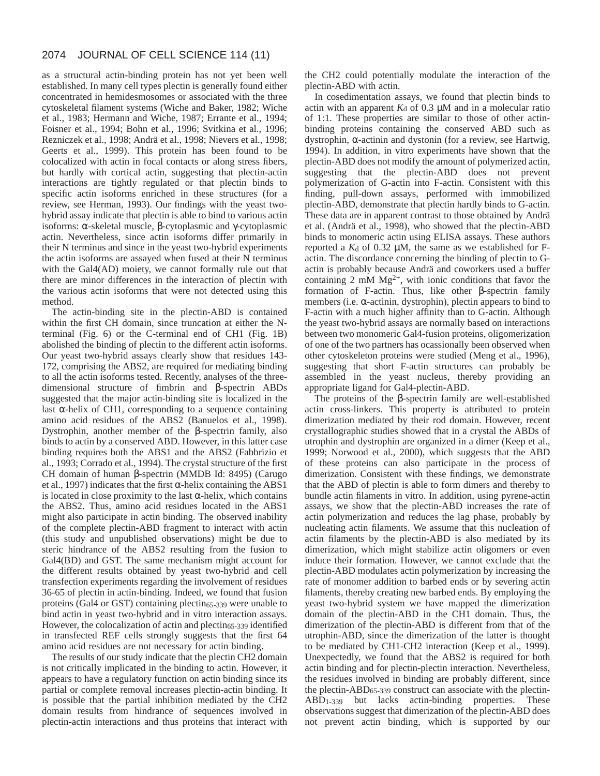as a structural actin-binding protein has not yet been well established. In many cell types plectin is generally found either concentrated in hemidesmosomes or associated with the three cytoskeletal filament systems (Wiche and Baker, 1982; Wiche et al., 1983; Hermann and Wiche, 1987; Errante et al., 1994; Foisner et al., 1994; Bohn et al., 1996; Svitkina et al., 1996; Rezniczek et al., 1998; Andrä et al., 1998; Nievers et al., 1998; Geerts et al., 1999). This protein has been found to be colocalized with actin in focal contacts or along stress fibers, but hardly with cortical actin, suggesting that plectin-actin interactions are tightly regulated or that plectin binds to specific actin isoforms enriched in these structures (for a review, see Herman, 1993). Our findings with the yeast twohybrid assay indicate that plectin is able to bind to various actin isoforms: α-skeletal muscle, β-cytoplasmic and γ-cytoplasmic actin. Nevertheless, since actin isoforms differ primarily in their N terminus and since in the yeast two-hybrid experiments the actin isoforms are assayed when fused at their N terminus with the Gal4(AD) moiety, we cannot formally rule out that there are minor differences in the interaction of plectin with the various actin isoforms that were not detected using this method.

The actin-binding site in the plectin-ABD is contained within the first CH domain, since truncation at either the Nterminal (Fig. 6) or the C-terminal end of CH1 (Fig. 1B) abolished the binding of plectin to the different actin isoforms. Our yeast two-hybrid assays clearly show that residues 143- 172, comprising the ABS2, are required for mediating binding to all the actin isoforms tested. Recently, analyses of the threedimensional structure of fimbrin and β-spectrin ABDs suggested that the major actin-binding site is localized in the last  $\alpha$ -helix of CH1, corresponding to a sequence containing amino acid residues of the ABS2 (Banuelos et al., 1998). Dystrophin, another member of the β-spectrin family, also binds to actin by a conserved ABD. However, in this latter case binding requires both the ABS1 and the ABS2 (Fabbrizio et al., 1993; Corrado et al., 1994). The crystal structure of the first CH domain of human β-spectrin (MMDB Id: 8495) (Carugo et al., 1997) indicates that the first  $\alpha$ -helix containing the ABS1 is located in close proximity to the last  $\alpha$ -helix, which contains the ABS2. Thus, amino acid residues located in the ABS1 might also participate in actin binding. The observed inability of the complete plectin-ABD fragment to interact with actin (this study and unpublished observations) might be due to steric hindrance of the ABS2 resulting from the fusion to Gal4(BD) and GST. The same mechanism might account for the different results obtained by yeast two-hybrid and cell transfection experiments regarding the involvement of residues 36-65 of plectin in actin-binding. Indeed, we found that fusion proteins (Gal4 or GST) containing plectin65-339 were unable to bind actin in yeast two-hybrid and in vitro interaction assays. However, the colocalization of actin and plectin<sub>65-339</sub> identified in transfected REF cells strongly suggests that the first 64 amino acid residues are not necessary for actin binding.

The results of our study indicate that the plectin CH2 domain is not critically implicated in the binding to actin. However, it appears to have a regulatory function on actin binding since its partial or complete removal increases plectin-actin binding. It is possible that the partial inhibition mediated by the CH2 domain results from hindrance of sequences involved in plectin-actin interactions and thus proteins that interact with

the CH2 could potentially modulate the interaction of the plectin-ABD with actin.

In cosedimentation assays, we found that plectin binds to actin with an apparent  $K_d$  of 0.3  $\mu$ M and in a molecular ratio of 1:1. These properties are similar to those of other actinbinding proteins containing the conserved ABD such as dystrophin, α-actinin and dystonin (for a review, see Hartwig, 1994). In addition, in vitro experiments have shown that the plectin-ABD does not modify the amount of polymerized actin, suggesting that the plectin-ABD does not prevent polymerization of G-actin into F-actin. Consistent with this finding, pull-down assays, performed with immobilized plectin-ABD, demonstrate that plectin hardly binds to G-actin. These data are in apparent contrast to those obtained by Andrä et al. (Andrä et al., 1998), who showed that the plectin-ABD binds to monomeric actin using ELISA assays. These authors reported a  $K_d$  of 0.32  $\mu$ M, the same as we established for Factin. The discordance concerning the binding of plectin to Gactin is probably because Andrä and coworkers used a buffer containing 2 mM  $Mg^{2+}$ , with ionic conditions that favor the formation of F-actin. Thus, like other β-spectrin family members (i.e. α-actinin, dystrophin), plectin appears to bind to F-actin with a much higher affinity than to G-actin. Although the yeast two-hybrid assays are normally based on interactions between two monomeric Gal4-fusion proteins, oligomerization of one of the two partners has ocassionally been observed when other cytoskeleton proteins were studied (Meng et al., 1996), suggesting that short F-actin structures can probably be assembled in the yeast nucleus, thereby providing an appropriate ligand for Gal4-plectin-ABD.

The proteins of the β-spectrin family are well-established actin cross-linkers. This property is attributed to protein dimerization mediated by their rod domain. However, recent crystallographic studies showed that in a crystal the ABDs of utrophin and dystrophin are organized in a dimer (Keep et al., 1999; Norwood et al., 2000), which suggests that the ABD of these proteins can also participate in the process of dimerization. Consistent with these findings, we demonstrate that the ABD of plectin is able to form dimers and thereby to bundle actin filaments in vitro. In addition, using pyrene-actin assays, we show that the plectin-ABD increases the rate of actin polymerization and reduces the lag phase, probably by nucleating actin filaments. We assume that this nucleation of actin filaments by the plectin-ABD is also mediated by its dimerization, which might stabilize actin oligomers or even induce their formation. However, we cannot exclude that the plectin-ABD modulates actin polymerization by increasing the rate of monomer addition to barbed ends or by severing actin filaments, thereby creating new barbed ends. By employing the yeast two-hybrid system we have mapped the dimerization domain of the plectin-ABD in the CH1 domain. Thus, the dimerization of the plectin-ABD is different from that of the utrophin-ABD, since the dimerization of the latter is thought to be mediated by CH1-CH2 interaction (Keep et al., 1999). Unexpectedly, we found that the ABS2 is required for both actin binding and for plectin-plectin interaction. Nevertheless, the residues involved in binding are probably different, since the plectin-ABD65-339 construct can associate with the plectin-ABD1-339 but lacks actin-binding properties. These observations suggest that dimerization of the plectin-ABD does not prevent actin binding, which is supported by our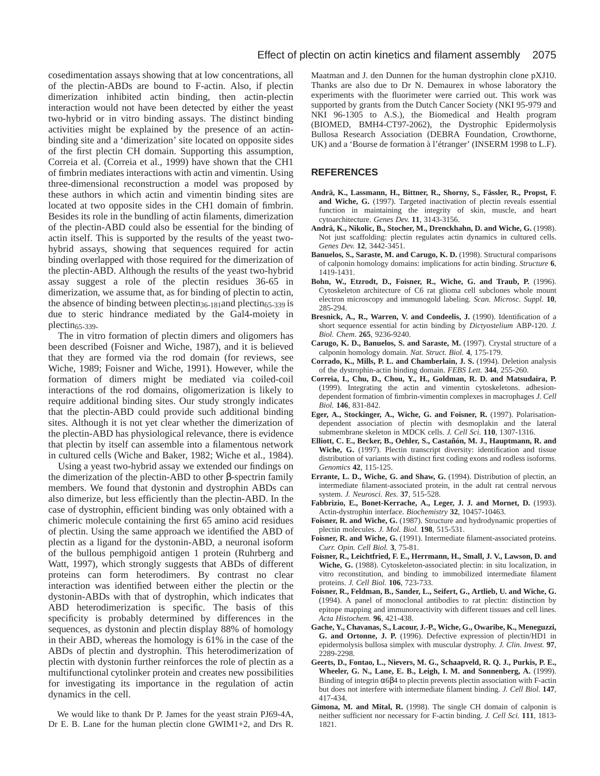cosedimentation assays showing that at low concentrations, all of the plectin-ABDs are bound to F-actin. Also, if plectin dimerization inhibited actin binding, then actin-plectin interaction would not have been detected by either the yeast two-hybrid or in vitro binding assays. The distinct binding activities might be explained by the presence of an actinbinding site and a 'dimerization' site located on opposite sides of the first plectin CH domain. Supporting this assumption, Correia et al. (Correia et al., 1999) have shown that the CH1 of fimbrin mediates interactions with actin and vimentin. Using three-dimensional reconstruction a model was proposed by these authors in which actin and vimentin binding sites are located at two opposite sides in the CH1 domain of fimbrin. Besides its role in the bundling of actin filaments, dimerization of the plectin-ABD could also be essential for the binding of actin itself. This is supported by the results of the yeast twohybrid assays, showing that sequences required for actin binding overlapped with those required for the dimerization of the plectin-ABD. Although the results of the yeast two-hybrid assay suggest a role of the plectin residues 36-65 in dimerization, we assume that, as for binding of plectin to actin, the absence of binding between plectin<sub>36-181</sub>and plectin<sub>65-339</sub> is due to steric hindrance mediated by the Gal4-moiety in plectin65-339.

The in vitro formation of plectin dimers and oligomers has been described (Foisner and Wiche, 1987), and it is believed that they are formed via the rod domain (for reviews, see Wiche, 1989; Foisner and Wiche, 1991). However, while the formation of dimers might be mediated via coiled-coil interactions of the rod domains, oligomerization is likely to require additional binding sites. Our study strongly indicates that the plectin-ABD could provide such additional binding sites. Although it is not yet clear whether the dimerization of the plectin-ABD has physiological relevance, there is evidence that plectin by itself can assemble into a filamentous network in cultured cells (Wiche and Baker, 1982; Wiche et al., 1984).

Using a yeast two-hybrid assay we extended our findings on the dimerization of the plectin-ABD to other β-spectrin family members. We found that dystonin and dystrophin ABDs can also dimerize, but less efficiently than the plectin-ABD. In the case of dystrophin, efficient binding was only obtained with a chimeric molecule containing the first 65 amino acid residues of plectin. Using the same approach we identified the ABD of plectin as a ligand for the dystonin-ABD, a neuronal isoform of the bullous pemphigoid antigen 1 protein (Ruhrberg and Watt, 1997), which strongly suggests that ABDs of different proteins can form heterodimers. By contrast no clear interaction was identified between either the plectin or the dystonin-ABDs with that of dystrophin, which indicates that ABD heterodimerization is specific. The basis of this specificity is probably determined by differences in the sequences, as dystonin and plectin display 88% of homology in their ABD, whereas the homology is 61% in the case of the ABDs of plectin and dystrophin. This heterodimerization of plectin with dystonin further reinforces the role of plectin as a multifunctional cytolinker protein and creates new possibilities for investigating its importance in the regulation of actin dynamics in the cell.

We would like to thank Dr P. James for the yeast strain PJ69-4A, Dr E. B. Lane for the human plectin clone GWIM1+2, and Drs R.

Maatman and J. den Dunnen for the human dystrophin clone pXJ10. Thanks are also due to Dr N. Demaurex in whose laboratory the experiments with the fluorimeter were carried out. This work was supported by grants from the Dutch Cancer Society (NKI 95-979 and NKI 96-1305 to A.S.), the Biomedical and Health program (BIOMED, BMH4-CT97-2062), the Dystrophic Epidermolysis Bullosa Research Association (DEBRA Foundation, Crowthorne, UK) and a 'Bourse de formation à l'étranger' (INSERM 1998 to L.F).

### **REFERENCES**

- **Andrä, K., Lassmann, H., Bittner, R., Shorny, S., Fässler, R., Propst, F. and Wiche, G.** (1997). Targeted inactivation of plectin reveals essential function in maintaining the integrity of skin, muscle, and heart cytoarchitecture. *Genes Dev.* **11**, 3143-3156.
- **Andrä, K., Nikolic, B., Stocher, M., Drenckhahn, D. and Wiche, G.** (1998). Not just scaffolding: plectin regulates actin dynamics in cultured cells. *Genes Dev.* **12**, 3442-3451.
- Banuelos, S., Saraste, M. and Carugo, K. D. (1998). Structural comparisons of calponin homology domains: implications for actin binding. *Structure* **6**, 1419-1431.
- **Bohn, W., Etzrodt, D., Foisner, R., Wiche, G. and Traub, P.** (1996). Cytoskeleton architecture of C6 rat glioma cell subclones whole mount electron microscopy and immunogold labeling. *Scan. Microsc. Suppl.* **10**, 285-294.
- Bresnick, A., R., Warren, V. and Condeelis, J. (1990). Identification of a short sequence essential for actin binding by *Dictyostelium* ABP-120. *J. Biol. Chem*. **265**, 9236-9240.
- **Carugo, K. D., Banuelos, S. and Saraste, M.** (1997). Crystal structure of a calponin homology domain. *Nat. Struct. Biol.* **4**, 175-179.
- **Corrado, K., Mills, P. L. and Chamberlain, J. S.** (1994). Deletion analysis of the dystrophin-actin binding domain. *FEBS Lett.* **344**, 255-260.
- **Correia, I., Chu, D., Chou, Y., H., Goldman, R. D. and Matsudaira, P.** (1999). Integrating the actin and vimentin cytoskeletons. adhesiondependent formation of fimbrin-vimentin complexes in macrophages *J. Cell Biol.* **146**, 831-842.
- **Eger, A., Stockinger, A., Wiche, G. and Foisner, R.** (1997). Polarisationdependent association of plectin with desmoplakin and the lateral submembrane skeleton in MDCK cells. *J. Cell Sci.* **110**, 1307-1316.
- **Elliott, C. E., Becker, B., Oehler, S., Castañón, M. J., Hauptmann, R. and Wiche, G.** (1997). Plectin transcript diversity: identification and tissue distribution of variants with distinct first coding exons and rodless isoforms. *Genomics* **42**, 115-125.
- **Errante, L. D., Wiche, G. and Shaw, G.** (1994). Distribution of plectin, an intermediate filament-associated protein, in the adult rat central nervous system. *J. Neurosci. Res.* **37**, 515-528.
- **Fabbrizio, E., Bonet-Kerrache, A., Leger, J. J. and Mornet, D.** (1993). Actin-dystrophin interface. *Biochemistry* **32**, 10457-10463.
- Foisner, R. and Wiche, G. (1987). Structure and hydrodynamic properties of plectin molecules. *J. Mol. Biol.* **198**, 515-531.
- Foisner, R. and Wiche, G. (1991). Intermediate filament-associated proteins. *Curr. Opin. Cell Biol.* **3**, 75-81.
- **Foisner, R., Leichtfried, F. E., Herrmann, H., Small, J. V., Lawson, D. and Wiche, G.** (1988). Cytoskeleton-associated plectin: in situ localization, in vitro reconstitution, and binding to immobilized intermediate filament proteins. *J. Cell Biol.* **106**, 723-733.
- **Foisner, R., Feldman, B., Sander, L., Seifert, G., Artlieb, U. and Wiche, G.** (1994). A panel of monoclonal antibodies to rat plectin: distinction by epitope mapping and immunoreactivity with different tissues and cell lines. *Acta Histochem.* **96**, 421-438.
- **Gache, Y., Chavanas, S., Lacour, J.-P., Wiche, G., Owaribe, K., Meneguzzi, G. and Ortonne, J. P.** (1996). Defective expression of plectin/HD1 in epidermolysis bullosa simplex with muscular dystrophy. *J. Clin. Invest.* **97**, 2289-2298.
- **Geerts, D., Fontao, L., Nievers, M. G., Schaapveld, R. Q. J., Purkis, P. E., Wheeler, G. N., Lane, E. B., Leigh, I. M. and Sonnenberg, A.** (1999). Binding of integrin  $\alpha$ 6 $\beta$ 4 to plectin prevents plectin association with F-actin but does not interfere with intermediate filament binding. *J. Cell Biol.* **147**, 417-434.
- **Gimona, M. and Mital, R.** (1998). The single CH domain of calponin is neither sufficient nor necessary for F-actin binding. *J. Cell Sci.* **111**, 1813- 1821.